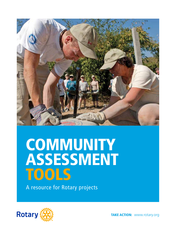

# **COMMUNITY** ASSESSMENT TOOLS

A resource for Rotary projects

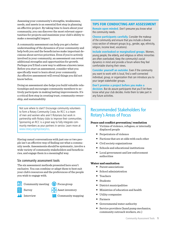Assessing your community's strengths, weaknesses, needs, and assets is an essential first step in planning an effective project. By taking time to learn about your community, you can discover the most relevant opportunities for projects and maximize your club's ability to make a meaningful impact.

A community assessment can help you get a better understanding of the dynamics of your community and help both you and the beneficiaries make important decisions about service priorities. Even if you're actively involved in your community, an assessment can reveal additional strengths and opportunities for growth. Perhaps you'll find a new way to address a known issue. Before you start an assessment, consider what you specifically want to learn about your community. An effective assessment will reveal things you did not know before.

Doing an assessment also helps you build valuable relationships and encourages community members to actively participate in making lasting improvements. It's a critical first step in creating trust, community ownership, and sustainability

Not sure where to start? Encourage community volunteers to form a Rotary Community Corps. An RCC is a team of men and women who aren't Rotarians but work in partnership with Rotary clubs to improve their communities. Sponsoring an RCC is a great way to fully integrate community members as your partners in service. Learn more at [www.rotary.org/myrotary/rcc.](http://www.rotary.org/myrotary/rcc)

Having casual conversations with just one or two people isn't an effective way of finding out what a community needs. Assessments should be systematic, involve a wide variety of community stakeholders and beneficiaries, and engage them in a meaningful way.

#### Six community assessment tools

The six assessment methods presented here aren't exclusive. You can combine or adapt them to best suit your club's resources and the preferences of the people you wish to engage with.

Community meeting  $\binom{r}{r}$  Focus group

 $\text{Surve}$   $\text{A}$  Asset inventory

| Interview |  | <b>K</b> Community mapping |
|-----------|--|----------------------------|
|-----------|--|----------------------------|

#### TIPS FOR CONDUCTING ANY ASSESSMENT

**Remain open minded.** Don't presume you know what the community needs.

**Choose participants carefully.** Consider the makeup of the community and ensure that you include a diverse cross-section of relevant groups (e.g., gender, age, ethnicity, religion, income level, vocations).

**Include overlooked or marginalized groups.** Women, young people, the elderly, and religious or ethnic minorities are often overlooked. Keep the community's social dynamics in mind and provide a forum where they feel comfortable sharing their views.

**Consider yourself an outsider.** Even if the community you want to work with is local, find a well-connected individual, group, or organization that can introduce you to your target stakeholder groups.

**Don't promise a project before you make a decision.** But do assure participants that you'll let them know what your club decides. Invite them to take part in any future activities.

# Recommended Stakeholders for Rotary's Areas of Focus

#### **Peace and conflict prevention/ resolution**

- Victims of violence, refugees, or internally displaced people
- Perpetrators of violence
- Factions that are at odds with each other
- Civil society organizations
- Schools and educational institutions
- Local government and law enforcement authorities

#### **Water and sanitation**

- Parent associations
- School administration
- Teachers
- Students
- District municipalities
- Ministries of education and health
- Utility companies
- Farmers
- Governmental water authority
- Service providers (hand pump mechanics, community outreach workers, etc.)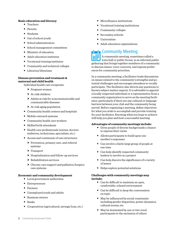#### **Basic education and literacy**

- Teachers
- Parents
- Students
- Out of school youth
- School administrators
- School management committees
- Ministry of education
- Adult education institutes
- Vocational training institutes
- Community and technical colleges
- Libraries/librarians

#### **Disease prevention and treatment & maternal and child health**

- Individual health care recipients:
	- $\blacktriangleright$  Pregnant women
	- At-risk children
	- Adults at risk for noncommunicable and communicable diseases
	- At-risk aging population
- Community health centers and hospitals
- Mobile outreach systems
- Community health care workers
- Skilled birth attendants
- Health care professionals (nurses, doctors midwives, technicians, specialists, etc.)
- Access and continuum of care structures:
	- Prevention, primary care, and referral systems
	- ▶ Transport
	- $\blacktriangleright$  Hospitalization and follow-up services
	- $\blacktriangleright$  Rehabilitation services
	- $\triangleright$  Chronic care support and palliative/hospice care systems

#### **Economic and community development**

- Local government authorities
- Entrepreneurs
- Farmers
- Unemployed youth and adults
- Business owners
- Banks
- Cooperatives (agricultural, savings/loan, etc.)
- Microfinance institutions
- Vocational training institutions
- Community colleges
- Secondary schools
- Universities
- Adult education organizations

# **Lowell** Community Meeting

A community meeting, sometimes called a town hall or public forum, is an informal public gathering that brings together members of a community to discuss issues, voice concerns, and express preferences for community priorities.

In a community meeting, a facilitator leads discussions on issues related to the community's strengths and potential challenges and encourages attendees to vocally participate. The facilitator also directs any questions to known subject matter experts. It is advisable to appoint a locally respected individual or a representative from a community organization to serve as the meeting facilitator, particularly if there are any cultural or language barriers between your club and the community being served. Before organizing a meeting, define objectives for what you wish to accomplish and provide training for your facilitator. Knowing what you hope to achieve will help you plan and host a successful meeting.

#### **Advantages of community meetings include:**

- Gives people of diverse backgrounds a chance to express their views
- Allows participants to build upon one another's responses
- Can involve a fairly large group of people at one time
- Can help identify respected community leaders to involve in a project
- Can help discern the significance of a variety of issues
- Helps explore potential solutions

#### **Challenges with community meetings may include:**

- Can be difficult to maintain an open, comfortable, relaxed environment
- Can be difficult to keep the conversation on topic
- May be influenced by social constraints including gender disparities, power dynamics, cultural norms, etc.
- May be dominated by one or two vocal participants to the exclusion of others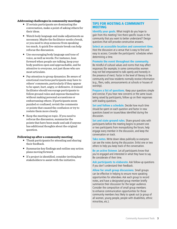#### **Addressing challenges in community meetings**

- If certain participants are dominating the conversation, make a point of asking others for their ideas.
- Watch body language and make adjustments as necessary. Maybe the facilitator needs a break, or you need to stop someone from speaking too much. A quick five-minute break can help refocus the discussion.
- Use encouraging body language and tone of voice, as well as words. For instance, lean forward when people are talking, keep your body position open and approachable, and be attentive to everyone, not just those who are most articulate.
- Pay attention to group dynamics. Be aware of emotional reactions participants may have to others' comments, particularly if they appear to be upset, hurt, angry, or defensive. A trained facilitator should encourage participants to follow ground rules and express themselves without making personal accusations or embarrassing others. If participants seem puzzled or confused, revisit the comments or points that caused the confusion or try to restate them more clearly.
- Keep the meeting on topic. If you need to refocus the discussion, summarize the points that have been made and ask if anyone has additional thoughts about the original question.

#### **Following up after a community meeting**

- Thank participants for attending and sharing their feedback.
- Summarize key findings and outline any action plans moving forward.
- If a project is identified, consider inviting key stakeholders to assist with the initiative.

#### TIPS FOR HOSTING A COMMUNITY MEETING

**Identify your goals.** What insight do you hope to gain from this meeting? Are there specific issues in the community that you want to better understand? Design questions that will provoke constructive answers.

**Select an accessible location and convenient time**. Host the discussion at a venue that is easy to find and easy to access. Consider the participants' schedules when determining a time.

#### **Promote the event throughout the community.**

Be mindful of cultural values and norms that may affect responses (for example, in some communities women may not feel empowered to talk openly and honestly in the presence of men). Factor in the level of literacy in the community and how residents normally receive information (e.g., fliers, radio, announcements at schools or houses of worship).

**Prepare a list of questions.** Keep your questions simple and concise. If you hear new concerns or the same issues being raised by participants, follow up on their responses with leading questions.

**Set and follow a schedule.** Decide how much time should be spent on each question and factor in new questions based on issues/ideas identified during the discussion.

**Set and state ground rules.** Share ground rules with participants before the meeting begins to prevent one or two participants from monopolizing the forum, help engage every member in the discussion, and keep the conversation on track.

**Take notes**. Write down ideas publically so everyone can see the notes during the discussion. Enlist one or two others to help you keep track of the conversation.

**Be an active listener.** Let all participants know that you're engaged and interested in what they have to say. Be considerate of their time.

**Ask participants to elaborate.** Ask follow-up questions if you don't understand their feedback.

**Allow for small group discussions.** Small groups can be effective in helping to ensure more speaking opportunities for attendees. Ask each group to record notes, and have a designated group member briefly summarize their discussion for the larger audience. Consider the composition of small group members to enhance communication opportunities for those community members less likely to speak out (a group of all women, young people, people with disabilities, ethnic minorities, etc.).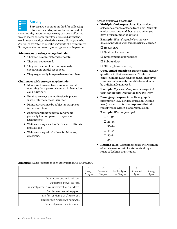

#### **Survey**

Surveys are a popular method for collecting information and opinions. In the context of a community assessment, a survey can be an effective

way to assess the community's perceived strengths, weaknesses, needs, and existing assets. Surveys can be general or targeted to specific segments of a community. Surveys can be delivered by email, phone, or in person.

#### **Advantages to using surveys include:**

- They can be administered remotely.
- They can be repeated.
- They can be completed anonymously, encouraging candid responses.
- They're generally inexpensive to administer.

#### **Challenges with surveys may include:**

- Identifying prospective respondents and obtaining their personal contact information can be difficult.
- Emailed surveys are ineffective in places where Internet access is limited.
- Phone surveys may be subject to sample or interviewer bias.
- Response rates for remote surveys are generally low compared to in-person assessments.
- Written surveys are ineffective with illiterate populations.
- Written surveys don't allow for follow-up questions.

#### **Types of survey questions**

 **Multiple choice questions.** Respondents select one or more options from a list. Multiple choice questions work best to use when you have a fixed number of options.

**Example:** *What do you feel are the most pressing needs in your community (select two):*

- $\square$  Health care
- $\square$  Quality of education
- $\square$  Employment opportunities
- $\square$  Public safety
- $\square$  Other (please describe):  $\_\_$
- **Open-ended questions.** Respondents answer questions in their own words. This format can elicit more nuanced responses, but survey results aren't as easily quantifiable and must be individually analyzed.

**Example:***If you could improve one aspect of your community, what would it be and why?*

 **Demographic questions.** Demographic information (e.g., gender, education, income level) can add context to responses that will reveal trends within a larger population.

#### **Example:** *What is your age?*

- $\square$  18-24
- $\square$  25-34
- $\square$  35-44
- $\square$  45-54
- $\square$  55-64
- $\square$  65+
- **Rating scales.** Respondents rate their opinion of a statement or set of statements along a range of feelings or attitudes.

|                                                          | Strongly<br>Disagree | Somewhat<br>Disagree | Neither Agree<br>nor Disagree | Somewhat<br>Agree | Strongly<br>Agree |
|----------------------------------------------------------|----------------------|----------------------|-------------------------------|-------------------|-------------------|
| The number of teachers is sufficient.                    |                      |                      |                               |                   |                   |
| Our teachers are well-qualified.                         |                      |                      |                               |                   |                   |
| Our school provides a safe environment for our children. |                      |                      |                               |                   |                   |
| Our classrooms are well-equipped.                        |                      |                      |                               |                   |                   |
| am familiar with my child's curriculum.                  |                      |                      |                               |                   |                   |
| I regularly help my child with homework.                 |                      |                      |                               |                   |                   |
| Our school provides nutritious meals.                    |                      |                      |                               |                   |                   |

#### **Example:** *Please respond to each statement about your school:*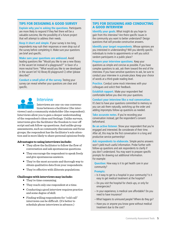#### TIPS FOR DESIGNING A GOOD SURVEY

**Explain why you're asking the questions.** Participants are more likely to respond if they feel there will be a valuable outcome, like the possibility of a future project that will attempt to address their needs.

**Keep it short and simple.** If your survey is too long, respondents may rush their responses or even drop out of the survey before completing it. Make sure your questions are brief and specific.

**Make sure your questions are unbiased.** Avoid leading questions like "Would you like to see a new library in the vacant lot instead of a playground?" in favor of a more neutral form: "What would you like to see developed in the vacant lot? A) library B) playground C) other (please describe)"

**Conduct a small pilot of the survey.** Testing your survey can reveal whether your questions are clear and specific.



# Interview

Interviews are one-on-one conversations between a facilitator (the inter-

viewer) and a community stakeholder (the respondent). Interviews allow you to gain a deeper understanding of the respondent's ideas and feelings. Unlike surveys, interviews give the facilitator the freedom to veer off script and ask follow-up questions. And unlike group assessments, such as community discussions and focus groups, the respondent has the facilitator's sole attention and is more likely to share personal opinions freely.

#### **Advantages to using interviews include:**

- They allow the facilitator to follow the flow of conversation and ask spontaneous questions.
- They encourage the respondent to speak freely and give spontaneous answers.
- They're the most accurate and thorough way to obtain qualitative data from your respondents.
- They're effective with illiterate populations.

#### **Challenges with interviews may include:**

- They're time consuming.
- They reach only one respondent at a time.
- Conducting a good interview requires practice and some degree of skill.
- Finding willing respondents for "cold call" interviews can be difficult. (It's better to schedule phone interviews in advance.)

#### TIPS FOR DESIGNING AND CONDUCTING A GOOD INTERVIEW

**Identify your goals.** What insight do you hope to gain from this interview? Are there specific issues in the community you want to better understand? Design questions that will provoke constructive answers.

**Identify your target respondents.** Whose opinions are you interested in understanding? Will you identify specific individuals to invite to appointments or will you solicit random participants in a public place?

**Prepare your interview questions.** Keep your questions as simple and concise as possible. If you have complex questions to ask, ask them toward the end of the interview. If you have sensitive questions to ask, be sure to conduct your interview in a private place. Keep your choice of words at a third-grade reading level.

**Practice.** Conduct some mock interviews with your colleagues and solicit their feedback.

**Establish rapport.** Make your respondent feel comfortable before you dive into your questions.

#### **Conduct your interview like a real conversation.**

It's best to have your questions committed to memory so you can ask them naturally, switching up the order and adding impromptu follow-up questions as needed.

**Take accurate notes**. If you're recording your conversation instead, get the respondent's consent beforehand.

**Be an active listener.** Show your respondent that you're engaged and interested. Be considerate of their time. After all, this may be the first conversation in a long and productive service partnership!

**Ask respondents to elaborate.** Simple yes/no answers won't yield much useful information. Probe further with follow-up questions and ask respondents to clarify if you don't understand. You may want to prepare specific prompts for drawing out additional information. For example:

**Question:** How easy is it to get health care in your community?

#### **Prompts:**

- Is it easy to get to a hospital in your community? Is it easy to get medical treatment at the hospital?
- Do you visit the hospital for check-ups, or only for emergencies?
- In your experience, is medical care affordable? Do you need to have insurance?
- What happens to uninsured people? Where do they go?
- Have you or anyone you know gone without medical treatment due to the cost?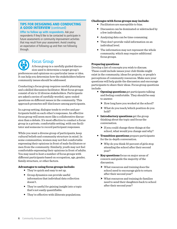#### TIPS FOR DESIGNING AND CONDUCTING A GOOD INTERVIEW (continued)

**Offer to follow up with respondents.** Ask your respondents if they'd like to be contacted to participate in future assessments or community improvement activities that may result from your assessment. Avoid creating an expectation of following-up and then not following through.

# Focus Group

A focus group is a carefully guided discussion used to determine a target group's preferences and opinions on a particular issue or idea. It can help you determine how the stakeholders believe community issues should be addressed.

Conducting a focus group requires careful planning and a skilled discussion facilitator. Most focus groups consist of six to 12 diverse stakeholders. Participants are asked a series of carefully worded, open-ended questions on different issues in the community. This approach promotes self-disclosure among participants.

In a group setting, dialogue tends to evolve and participants build on each other's responses. An effective focus group will seem more like a collaborative discussion than a debate. It's most effective to conduct a focus group in a private, comfortable setting, with one facilitator and someone to record participant responses.

While you want a diverse group of participants, keep cultural beliefs and community structure in mind. In some communities, women may not feel comfortable expressing their opinions in front of male facilitators or men from the community. Similarly, youth may not feel comfortable expressing their opinions in front of adults. You may need to host a number of focus groups with different participants based on occupation, age, gender, family structure, or other factors.

#### **Advantages to using focus groups include:**

- They're quick and easy to set up.
- Group dynamics can provide useful information that individual data collection doesn't.
- They're useful for gaining insight into a topic that's not easily quantifiable.
- They're effective with illiterate populations.

#### **Challenges with focus groups may include:**

- Facilitators are susceptible to bias.
- Discussion can be dominated or sidetracked by a few individuals.
- Analyzing data can be time consuming.
- They don't provide valid information on an individual level.
- The information may not represent the whole community, which may require additional focus groups.

#### **Preparing questions**

Develop a list of concepts you wish to discuss. These could include issues your club thinks might exist in the community, ideas for projects, or people's perceptions of community resources. Make sure your questions will help guide the discussion and encourage participants to share their ideas. Focus group questions include:

- **Opening questions** get participants talking and feeling comfortable. They should be easy to answer.
	- $\blacktriangleright$  How long have you worked at the school?
	- What do you teach/which position do you hold?
- **Introductory questions** get the group thinking about the topic and focus the conversation.
	- $\triangleright$  If you could change three things at the school, what would you change and why?
- **Transition questions** prepare participants for the in-depth conversation.
	- $\triangleright$  Why do you think 50 percent of girls stop attending the school after their second year?
- **Key questions** focus on major areas of concern and guide the majority of the discussion.
	- What resources and training does the school need to encourage girls to return after their second year?
	- What resources and training do families need to send their daughters back to school after their second year?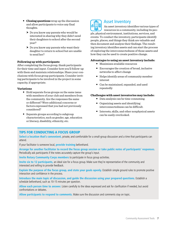- **Closing questions** wrap up the discussion and allow participants to voice any final thoughts.
	- ▶ Do you know any parents who would be interested in sharing why they didn't send their daughters to school after the second year?
	- Do you know any parents who want their daughter to return to school but are unable to send her?

#### **Following up with participants**

After completing the focus group, thank participants for their time and input. Consider how you'll follow-up with them and maintain relationships. Share your conclusions with focus group participants. Consider inviting participants to be involved in the project in some capacity, if appropriate.

#### **Variations**

- Hold separate focus groups on the same issue with members of your club and members from the community. Are the responses the same or different? Were additional concerns or factors expressed that you had not previously considered?
- Separate groups according to subgroup characteristics, such as gender, age, education or literacy, disability, ethnicity, etc.

| ш |  |
|---|--|
|   |  |

# Asset Inventory

An asset inventory identifies various types of resources in a community, including its people, physical environment, institutions, services, and events. To conduct the inventory, participants identify people, places, and things they think are valuable and then document and analyze their findings. The resulting inventory identifies assets and can start the process of exploring the interconnectedness of those assets and how they can be used to create positive change.

#### **Advantages to using an asset inventory include:**

- Maximizes available resources
- Encourages the creation of broad, inclusive networks to affect change
- Helps identify areas of community member interest
- Can be maintained, expanded, and used repeatedly

#### **Challenges with asset inventories may include:**

- Data analysis can be time consuming.
- Organizing assets and identifying interconnectedness can be difficult.
- Interests, skills, and other nonphysical assets can be easily overlooked.

### TIPS FOR CONDUCTING A FOCUS GROUP

**Select a location that's convenient,** private, and comfortable for a small-group discussion and a time that participants can attend.

If your facilitator is someone local, **provide training** beforehand.

**Arrange for another facilitator to record the focus group session or take public notes of participants' responses.**  Periodically ask participants if the notes accurately capture the group's input.

**Invite Rotary Community Corps members** to participate in focus group activities.

**Invite six to 12 participants,** an ideal size for a focus group. Make sure they're representative of the community and interested and willing to provide feedback.

**Explain the purpose of the focus group, and state your goals openly.** Establish simple ground rules to promote positive interaction and confidence in the process.

**Introduce the main topic of discussion, and guide the discussion using your prepared questions.** Establish a schedule beforehand, such as 10-15 minutes per question.

**Allow each person time to answer.** Listen carefully to the ideas expressed and ask for clarification if needed, but avoid confrontations or debates.

**Allow participants to respond to comments.** Make sure the discussion and comments stay on topic.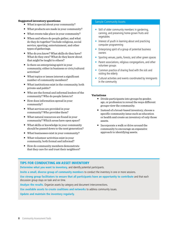#### **Suggested inventory questions:**

- What is special about your community?
- What products are made in your community?
- What events take place in your community?
- When and where do people gather, and what do they do together? Include religious, social service, sporting, entertainment, and other types of gatherings.
- Who do you know? What skills do they have? What do they own? What do they know about that might be taught to others?
- Is there an enterprising spirit in your community, either in business or civic/cultural activities?
- What topics or issues interest a significant number of community members?
- What institutions exist in the community, both private and public?
- Who are the formal and informal leaders of the community? Who do people listen to?
- How does information spread in your community?
- What services are provided in your community? Who provides them?
- What natural resources are found in your community? Which areas have open space?
- What skills or knowledge in your community should be passed down to the next generation?
- What businesses exist in your community?
- What volunteer activities exist in your community, both formal and informal?
- How do community members demonstrate that they care for and trust their neighbors?

#### Sample Community Assets

- Skill of older community members in gardening, canning, and preserving home-grown fruits and vegetables
- Interest of youth in learning about and practicing computer programming
- **•** Enterprising spirit of a group of potential business owners
- Sporting venues, parks, forests, and other green spaces
- Parent associations, religious congregations, and other volunteer groups
- Common practice of sharing food with the sick and visiting the elderly
- Cultural activities and events coordinated by immigrants in the community

#### **Variations**

- Divide participants into groups by gender, age, or profession to reveal the ways different groups view the community.
- Instead of a broad-based inventory, choose a specific community issue such as education or health and create an inventory of only those assets.
- Incorporate a walk or drive around the community to encourage an expansive approach to identifying assets.

#### TIPS FOR CONDUCTING AN ASSET INVENTORY

**Determine what you want to inventory,** and identify potential participants.

**Invite a small, diverse group of community members** to conduct the inventory in one or more sessions.

**Use strong group facilitators to ensure that all participants have an opportunity to contribute** and that each discussion group stays on task and on time.

**Analyze the results.** Organize assets by category and document interconnections.

**Use available assets to create coalitions and networks** to address community issues.

**Update and maintain the inventory regularly.**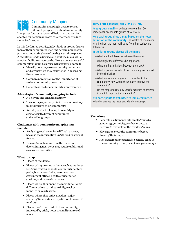

# Community Mapping

Community mapping is used to reveal different perspectives about a community.

It requires few resources and little time and can be adapted for participants of virtually any age or educational background.

In this facilitated activity, individuals or groups draw a map of their community, marking certain points of importance and noting how often they visit these places. A facilitator leads a discussion about the maps, while another facilitator records the discussion. A successful community mapping exercise will get participants to:

- Identify how they use community resources and any barriers they experience in accessing these resources
- Compare perceptions of the importance of various community resources
- Generate ideas for community improvement

#### **Advantages of community mapping include:**

- It's a lively and engaging activity.
- It encourages participants to discuss how they might improve their community.
- Activity can be broken up into multiple sessions with different community stakeholder groups.

#### **Challenges with community mapping may include:**

- Analyzing results can be a difficult process, because the information is gathered in a visual format.
- Drawing conclusions from the maps and determining next steps may require additional assessment activities.

#### **What to map**

- Places of residence
- Places of importance to them, such as markets, religious centers, schools, community centers, parks, businesses, fields, water sources, government offices, health clinics, police stations, and recreational areas
- Places where they spend the most time, using different colors to indicate daily, weekly, monthly, or yearly visits
- Places where they enjoy and don't enjoy spending time, indicated by different colors of markers
- Places they'd like to add to the community, indicated by sticky notes or small squares of paper

## TIPS FOR COMMUNITY MAPPING

**Keep groups small** — perhaps no more than 20 participants, divided into groups of four to six.

**Help each group draw a map based on their own definition of the community.** The wealth of information resulting from the maps will come from their variety and differences.

#### **In the large group, discuss all the maps:**

- What are the differences between the maps?
- Why might the differences be important?
- What are the similarities between the maps?
- What important aspects of the community are implied by the similarities?
- What places were suggested to be added to the community? How would these places improve the community?
- Do the maps indicate any specific activities or projects that might improve the community?

**Ask participants to volunteer to join a committee** to further analyze the maps and identify next steps.

#### **Variations**

- Separate participants into small groups by gender, age, ethnicity, profession, etc., to encourage diversity of the resulting maps.
- Have groups tour the community before drawing their maps.
- Ask participants to identify a central place in the community to help orient everyone's maps.